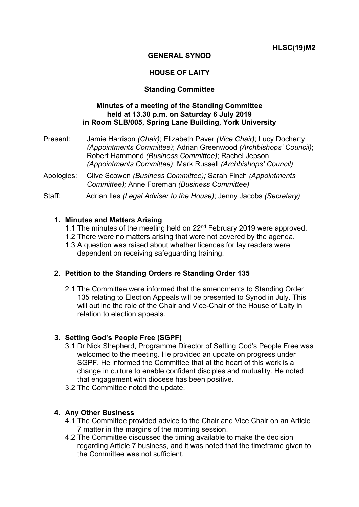**HLSC(19)M2**

# **GENERAL SYNOD**

# **HOUSE OF LAITY**

# **Standing Committee**

#### **Minutes of a meeting of the Standing Committee held at 13.30 p.m. on Saturday 6 July 2019 in Room SLB/005, Spring Lane Building, York University**

- Present: Jamie Harrison *(Chair)*; Elizabeth Paver *(Vice Chair)*; Lucy Docherty *(Appointments Committee)*; Adrian Greenwood *(Archbishops' Council)*; Robert Hammond *(Business Committee)*; Rachel Jepson *(Appointments Committee)*; Mark Russell *(Archbishops' Council)*
- Apologies: Clive Scowen *(Business Committee);* Sarah Finch *(Appointments Committee);* Anne Foreman *(Business Committee)*
- Staff: Adrian Iles *(Legal Adviser to the House)*; Jenny Jacobs *(Secretary)*

#### **1. Minutes and Matters Arising**

- 1.1 The minutes of the meeting held on 22<sup>nd</sup> February 2019 were approved.
- 1.2 There were no matters arising that were not covered by the agenda.
- 1.3 A question was raised about whether licences for lay readers were dependent on receiving safeguarding training.

## **2. Petition to the Standing Orders re Standing Order 135**

2.1 The Committee were informed that the amendments to Standing Order 135 relating to Election Appeals will be presented to Synod in July. This will outline the role of the Chair and Vice-Chair of the House of Laity in relation to election appeals.

## **3. Setting God's People Free (SGPF)**

- 3.1 Dr Nick Shepherd, Programme Director of Setting God's People Free was welcomed to the meeting. He provided an update on progress under SGPF. He informed the Committee that at the heart of this work is a change in culture to enable confident disciples and mutuality. He noted that engagement with diocese has been positive.
- 3.2 The Committee noted the update.

## **4. Any Other Business**

- 4.1 The Committee provided advice to the Chair and Vice Chair on an Article 7 matter in the margins of the morning session.
- 4.2 The Committee discussed the timing available to make the decision regarding Article 7 business, and it was noted that the timeframe given to the Committee was not sufficient.